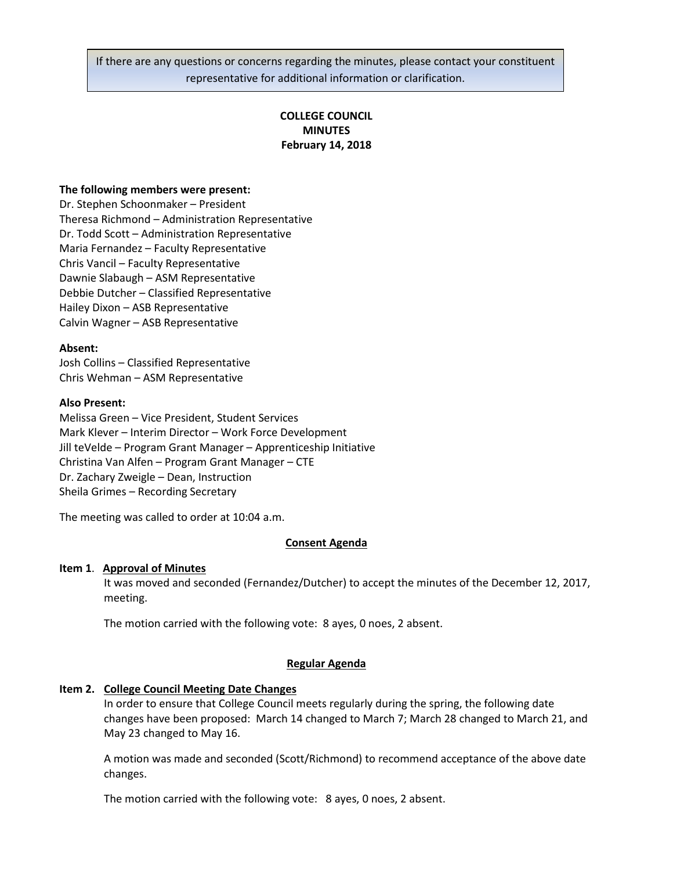If there are any questions or concerns regarding the minutes, please contact your constituent representative for additional information or clarification.

# **COLLEGE COUNCIL MINUTES February 14, 2018**

## **The following members were present:**

Dr. Stephen Schoonmaker – President Theresa Richmond – Administration Representative Dr. Todd Scott – Administration Representative Maria Fernandez – Faculty Representative Chris Vancil – Faculty Representative Dawnie Slabaugh – ASM Representative Debbie Dutcher – Classified Representative Hailey Dixon – ASB Representative Calvin Wagner – ASB Representative

#### **Absent:**

Josh Collins – Classified Representative Chris Wehman – ASM Representative

## **Also Present:**

Melissa Green – Vice President, Student Services Mark Klever – Interim Director – Work Force Development Jill teVelde – Program Grant Manager – Apprenticeship Initiative Christina Van Alfen – Program Grant Manager – CTE Dr. Zachary Zweigle – Dean, Instruction Sheila Grimes – Recording Secretary

The meeting was called to order at 10:04 a.m.

## **Consent Agenda**

## **Item 1**. **Approval of Minutes**

It was moved and seconded (Fernandez/Dutcher) to accept the minutes of the December 12, 2017, meeting.

The motion carried with the following vote: 8 ayes, 0 noes, 2 absent.

#### **Regular Agenda**

#### **Item 2. College Council Meeting Date Changes**

In order to ensure that College Council meets regularly during the spring, the following date changes have been proposed: March 14 changed to March 7; March 28 changed to March 21, and May 23 changed to May 16.

A motion was made and seconded (Scott/Richmond) to recommend acceptance of the above date changes.

The motion carried with the following vote: 8 ayes, 0 noes, 2 absent.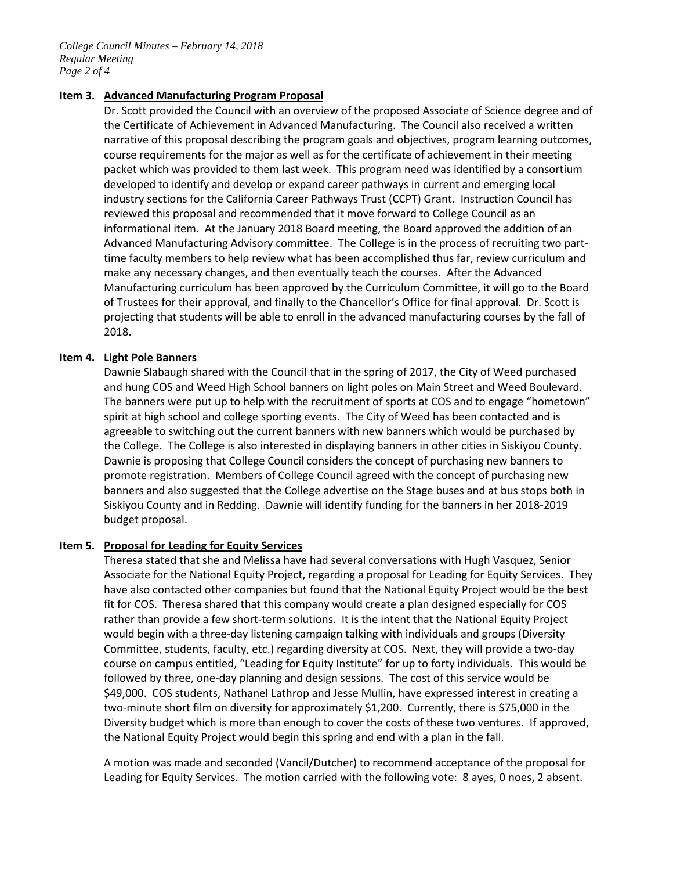*College Council Minutes – February 14, 2018 Regular Meeting Page 2 of 4*

### **Item 3. Advanced Manufacturing Program Proposal**

Dr. Scott provided the Council with an overview of the proposed Associate of Science degree and of the Certificate of Achievement in Advanced Manufacturing. The Council also received a written narrative of this proposal describing the program goals and objectives, program learning outcomes, course requirements for the major as well as for the certificate of achievement in their meeting packet which was provided to them last week. This program need was identified by a consortium developed to identify and develop or expand career pathways in current and emerging local industry sections for the California Career Pathways Trust (CCPT) Grant. Instruction Council has reviewed this proposal and recommended that it move forward to College Council as an informational item. At the January 2018 Board meeting, the Board approved the addition of an Advanced Manufacturing Advisory committee. The College is in the process of recruiting two parttime faculty members to help review what has been accomplished thus far, review curriculum and make any necessary changes, and then eventually teach the courses. After the Advanced Manufacturing curriculum has been approved by the Curriculum Committee, it will go to the Board of Trustees for their approval, and finally to the Chancellor's Office for final approval. Dr. Scott is projecting that students will be able to enroll in the advanced manufacturing courses by the fall of 2018.

## **Item 4. Light Pole Banners**

Dawnie Slabaugh shared with the Council that in the spring of 2017, the City of Weed purchased and hung COS and Weed High School banners on light poles on Main Street and Weed Boulevard. The banners were put up to help with the recruitment of sports at COS and to engage "hometown" spirit at high school and college sporting events. The City of Weed has been contacted and is agreeable to switching out the current banners with new banners which would be purchased by the College. The College is also interested in displaying banners in other cities in Siskiyou County. Dawnie is proposing that College Council considers the concept of purchasing new banners to promote registration. Members of College Council agreed with the concept of purchasing new banners and also suggested that the College advertise on the Stage buses and at bus stops both in Siskiyou County and in Redding. Dawnie will identify funding for the banners in her 2018-2019 budget proposal.

#### **Item 5. Proposal for Leading for Equity Services**

Theresa stated that she and Melissa have had several conversations with Hugh Vasquez, Senior Associate for the National Equity Project, regarding a proposal for Leading for Equity Services. They have also contacted other companies but found that the National Equity Project would be the best fit for COS. Theresa shared that this company would create a plan designed especially for COS rather than provide a few short-term solutions. It is the intent that the National Equity Project would begin with a three-day listening campaign talking with individuals and groups (Diversity Committee, students, faculty, etc.) regarding diversity at COS. Next, they will provide a two-day course on campus entitled, "Leading for Equity Institute" for up to forty individuals. This would be followed by three, one-day planning and design sessions. The cost of this service would be \$49,000. COS students, Nathanel Lathrop and Jesse Mullin, have expressed interest in creating a two-minute short film on diversity for approximately \$1,200. Currently, there is \$75,000 in the Diversity budget which is more than enough to cover the costs of these two ventures. If approved, the National Equity Project would begin this spring and end with a plan in the fall.

A motion was made and seconded (Vancil/Dutcher) to recommend acceptance of the proposal for Leading for Equity Services. The motion carried with the following vote: 8 ayes, 0 noes, 2 absent.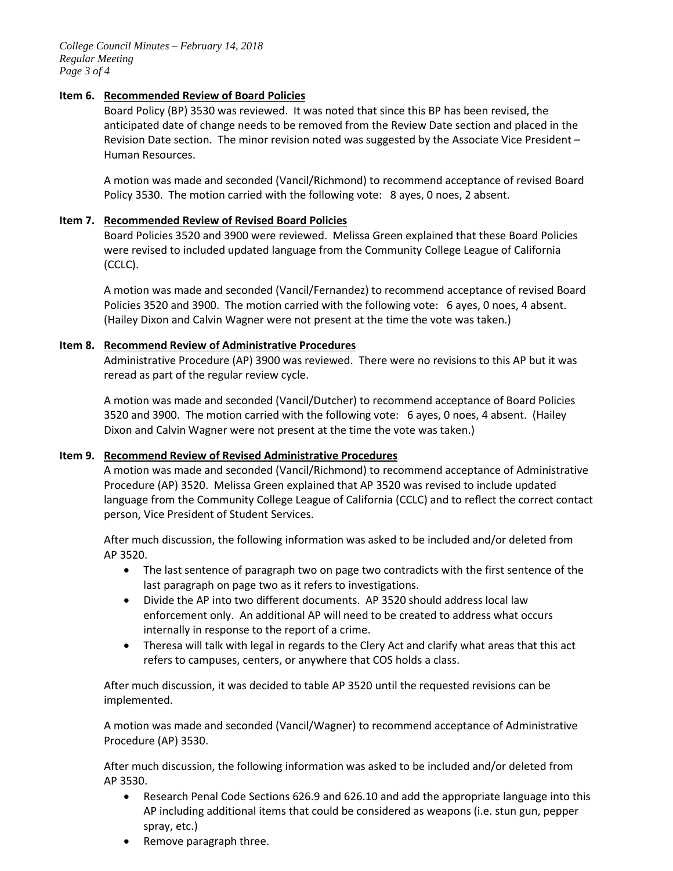*College Council Minutes – February 14, 2018 Regular Meeting Page 3 of 4*

## **Item 6. Recommended Review of Board Policies**

Board Policy (BP) 3530 was reviewed. It was noted that since this BP has been revised, the anticipated date of change needs to be removed from the Review Date section and placed in the Revision Date section. The minor revision noted was suggested by the Associate Vice President – Human Resources.

A motion was made and seconded (Vancil/Richmond) to recommend acceptance of revised Board Policy 3530. The motion carried with the following vote: 8 ayes, 0 noes, 2 absent.

## **Item 7. Recommended Review of Revised Board Policies**

Board Policies 3520 and 3900 were reviewed. Melissa Green explained that these Board Policies were revised to included updated language from the Community College League of California (CCLC).

A motion was made and seconded (Vancil/Fernandez) to recommend acceptance of revised Board Policies 3520 and 3900. The motion carried with the following vote: 6 ayes, 0 noes, 4 absent. (Hailey Dixon and Calvin Wagner were not present at the time the vote was taken.)

## **Item 8. Recommend Review of Administrative Procedures**

Administrative Procedure (AP) 3900 was reviewed. There were no revisions to this AP but it was reread as part of the regular review cycle.

A motion was made and seconded (Vancil/Dutcher) to recommend acceptance of Board Policies 3520 and 3900. The motion carried with the following vote: 6 ayes, 0 noes, 4 absent. (Hailey Dixon and Calvin Wagner were not present at the time the vote was taken.)

## **Item 9. Recommend Review of Revised Administrative Procedures**

A motion was made and seconded (Vancil/Richmond) to recommend acceptance of Administrative Procedure (AP) 3520. Melissa Green explained that AP 3520 was revised to include updated language from the Community College League of California (CCLC) and to reflect the correct contact person, Vice President of Student Services.

After much discussion, the following information was asked to be included and/or deleted from AP 3520.

- The last sentence of paragraph two on page two contradicts with the first sentence of the last paragraph on page two as it refers to investigations.
- Divide the AP into two different documents. AP 3520 should address local law enforcement only. An additional AP will need to be created to address what occurs internally in response to the report of a crime.
- Theresa will talk with legal in regards to the Clery Act and clarify what areas that this act refers to campuses, centers, or anywhere that COS holds a class.

After much discussion, it was decided to table AP 3520 until the requested revisions can be implemented.

A motion was made and seconded (Vancil/Wagner) to recommend acceptance of Administrative Procedure (AP) 3530.

After much discussion, the following information was asked to be included and/or deleted from AP 3530.

- Research Penal Code Sections 626.9 and 626.10 and add the appropriate language into this AP including additional items that could be considered as weapons (i.e. stun gun, pepper spray, etc.)
- Remove paragraph three.